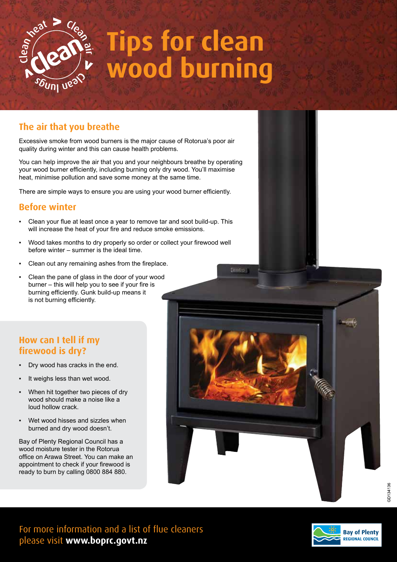

# **Tips for clean wood burning**

# **The air that you breathe**

Excessive smoke from wood burners is the major cause of Rotorua's poor air quality during winter and this can cause health problems.

You can help improve the air that you and your neighbours breathe by operating your wood burner efficiently, including burning only dry wood. You'll maximise heat, minimise pollution and save some money at the same time.

There are simple ways to ensure you are using your wood burner efficiently.

#### **Before winter**

- Clean your flue at least once a year to remove tar and soot build-up. This will increase the heat of your fire and reduce smoke emissions.
- Wood takes months to dry properly so order or collect your firewood well before winter – summer is the ideal time.
- Clean out any remaining ashes from the fireplace.
- Clean the pane of glass in the door of your wood burner – this will help you to see if your fire is burning efficiently. Gunk build-up means it is not burning efficiently.

## **How can I tell if my firewood is dry?**

- Dry wood has cracks in the end.
- It weighs less than wet wood.
- When hit together two pieces of dry wood should make a noise like a loud hollow crack.
- Wet wood hisses and sizzles when burned and dry wood doesn't.

Bay of Plenty Regional Council has a wood moisture tester in the Rotorua office on Arawa Street. You can make an appointment to check if your firewood is ready to burn by calling 0800 884 880.



For more information and a list of flue cleaners please visit **www.boprc.govt.nz**